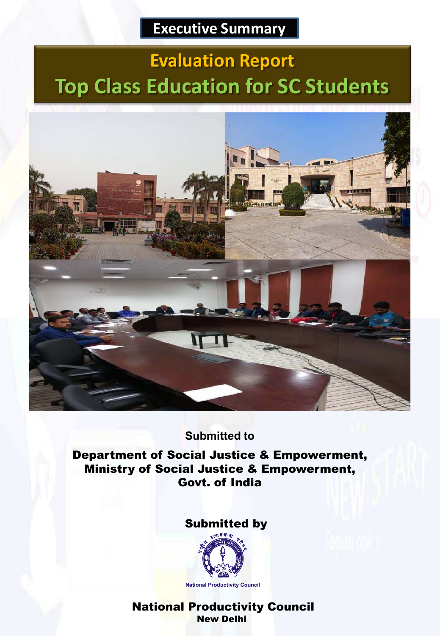## **Executive Summary**

# **Evaluation Report Top Class Education for SC Students**



## **Submitted to**

Department of Social Justice & Empowerment, Ministry of Social Justice & Empowerment, Govt. of India

## Submitted by



National Productivity Council New Delhi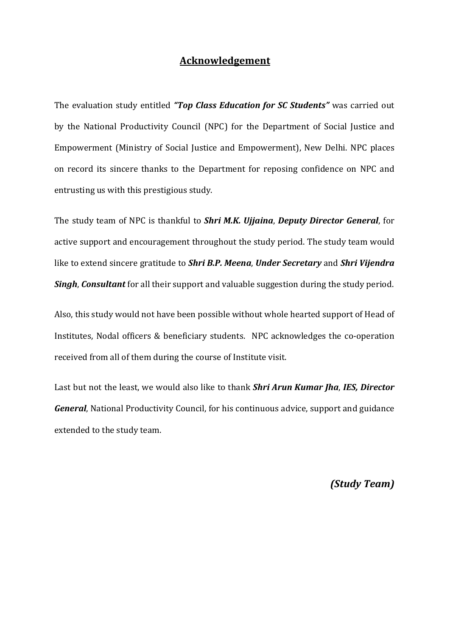## Acknowledgement

The evaluation study entitled "Top Class Education for SC Students" was carried out by the National Productivity Council (NPC) for the Department of Social Justice and Empowerment (Ministry of Social Justice and Empowerment), New Delhi. NPC places on record its sincere thanks to the Department for reposing confidence on NPC and entrusting us with this prestigious study.

The study team of NPC is thankful to Shri M.K. Ujjaina, Deputy Director General, for active support and encouragement throughout the study period. The study team would like to extend sincere gratitude to **Shri B.P. Meena, Under Secretary** and **Shri Vijendra Singh, Consultant** for all their support and valuable suggestion during the study period.

Also, this study would not have been possible without whole hearted support of Head of Institutes, Nodal officers & beneficiary students. NPC acknowledges the co-operation received from all of them during the course of Institute visit.

Last but not the least, we would also like to thank Shri Arun Kumar Jha, IES, Director General, National Productivity Council, for his continuous advice, support and guidance extended to the study team.

(Study Team)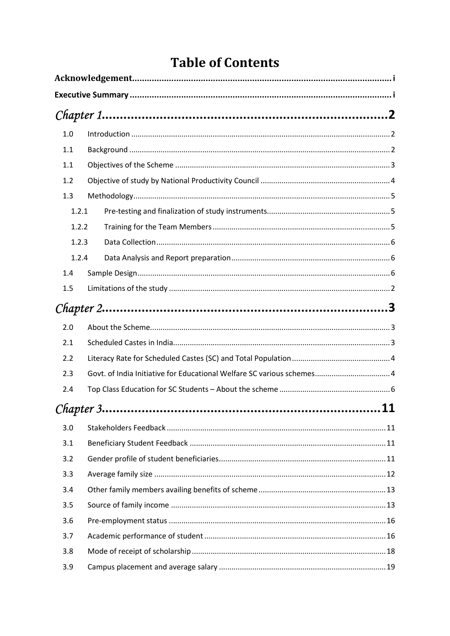## **Table of Contents**

| 1.0 |                                                                        |  |
|-----|------------------------------------------------------------------------|--|
| 1.1 |                                                                        |  |
| 1.1 |                                                                        |  |
| 1.2 |                                                                        |  |
| 1.3 |                                                                        |  |
|     | 1.2.1                                                                  |  |
|     | 1.2.2                                                                  |  |
|     | 1.2.3                                                                  |  |
|     | 1.2.4                                                                  |  |
| 1.4 |                                                                        |  |
| 1.5 |                                                                        |  |
|     |                                                                        |  |
| 2.0 |                                                                        |  |
| 2.1 |                                                                        |  |
| 2.2 |                                                                        |  |
| 2.3 | Govt. of India Initiative for Educational Welfare SC various schemes 4 |  |
| 2.4 |                                                                        |  |
|     |                                                                        |  |
| 3.0 |                                                                        |  |
| 3.1 |                                                                        |  |
| 3.2 |                                                                        |  |
| 3.3 |                                                                        |  |
| 3.4 |                                                                        |  |
| 3.5 |                                                                        |  |
| 3.6 |                                                                        |  |
| 3.7 |                                                                        |  |
| 3.8 |                                                                        |  |
| 3.9 |                                                                        |  |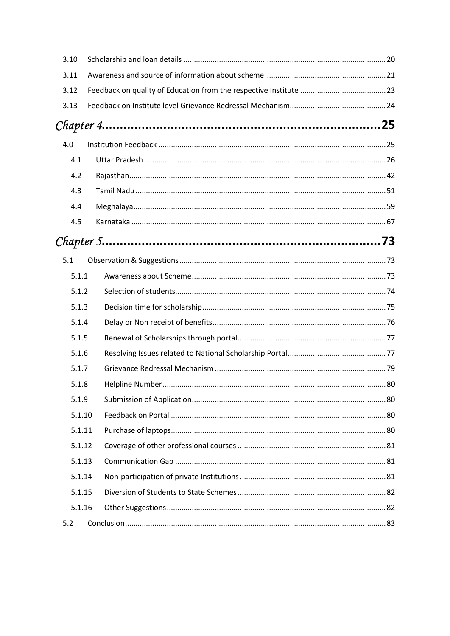| 3.10   |                      |  |
|--------|----------------------|--|
| 3.11   |                      |  |
| 3.12   |                      |  |
| 3.13   |                      |  |
|        | $Chapter 4 \dots 25$ |  |
| 4.0    |                      |  |
| 4.1    |                      |  |
| 4.2    |                      |  |
| 4.3    |                      |  |
| 4.4    |                      |  |
| 4.5    |                      |  |
|        |                      |  |
| 5.1    |                      |  |
| 5.1.1  |                      |  |
| 5.1.2  |                      |  |
| 5.1.3  |                      |  |
| 5.1.4  |                      |  |
| 5.1.5  |                      |  |
| 5.1.6  |                      |  |
| 5.1.7  |                      |  |
| 5.1.8  |                      |  |
| 5.1.9  |                      |  |
| 5.1.10 |                      |  |
| 5.1.11 |                      |  |
| 5.1.12 |                      |  |
| 5.1.13 |                      |  |
| 5.1.14 |                      |  |
| 5.1.15 |                      |  |
| 5.1.16 |                      |  |
| 5.2    |                      |  |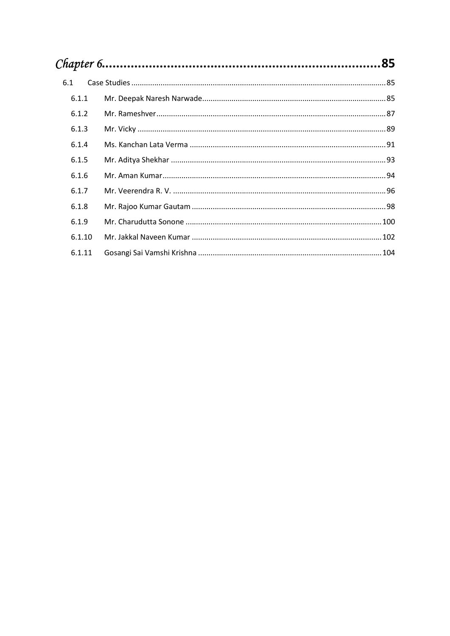| 6.1    |  |  |  |  |  |  |
|--------|--|--|--|--|--|--|
| 6.1.1  |  |  |  |  |  |  |
| 6.1.2  |  |  |  |  |  |  |
| 6.1.3  |  |  |  |  |  |  |
| 6.1.4  |  |  |  |  |  |  |
| 6.1.5  |  |  |  |  |  |  |
| 6.1.6  |  |  |  |  |  |  |
| 6.1.7  |  |  |  |  |  |  |
| 6.1.8  |  |  |  |  |  |  |
| 6.1.9  |  |  |  |  |  |  |
| 6.1.10 |  |  |  |  |  |  |
| 6.1.11 |  |  |  |  |  |  |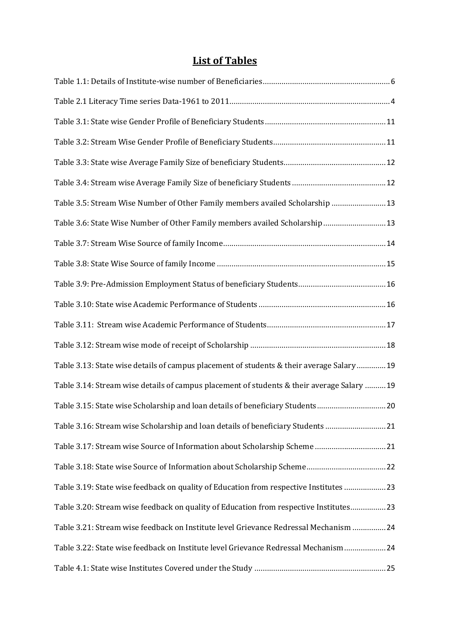## List of Tables

| Table 3.5: Stream Wise Number of Other Family members availed Scholarship  13              |  |
|--------------------------------------------------------------------------------------------|--|
| Table 3.6: State Wise Number of Other Family members availed Scholarship 13                |  |
|                                                                                            |  |
|                                                                                            |  |
|                                                                                            |  |
|                                                                                            |  |
|                                                                                            |  |
|                                                                                            |  |
| Table 3.13: State wise details of campus placement of students & their average Salary 19   |  |
| Table 3.14: Stream wise details of campus placement of students & their average Salary  19 |  |
| Table 3.15: State wise Scholarship and loan details of beneficiary Students20              |  |
| Table 3.16: Stream wise Scholarship and loan details of beneficiary Students 21            |  |
| Table 3.17: Stream wise Source of Information about Scholarship Scheme21                   |  |
|                                                                                            |  |
| Table 3.19: State wise feedback on quality of Education from respective Institutes  23     |  |
| Table 3.20: Stream wise feedback on quality of Education from respective Institutes 23     |  |
| Table 3.21: Stream wise feedback on Institute level Grievance Redressal Mechanism 24       |  |
| Table 3.22: State wise feedback on Institute level Grievance Redressal Mechanism 24        |  |
|                                                                                            |  |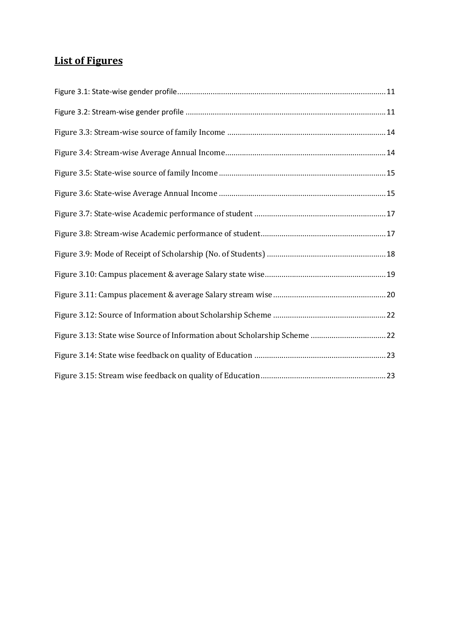## List of Figures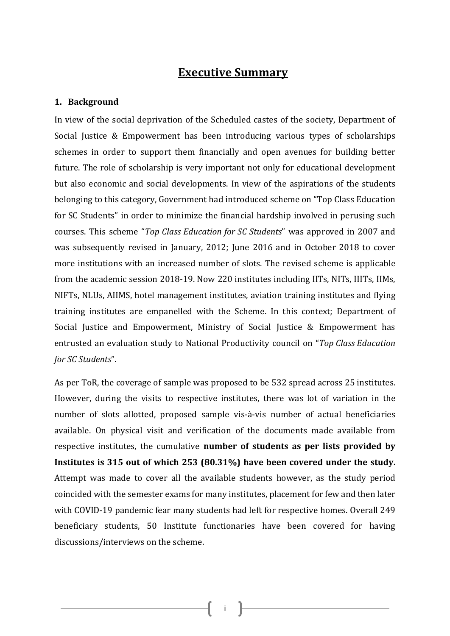## Executive Summary

#### 1. Background

In view of the social deprivation of the Scheduled castes of the society, Department of Social Justice & Empowerment has been introducing various types of scholarships schemes in order to support them financially and open avenues for building better future. The role of scholarship is very important not only for educational development but also economic and social developments. In view of the aspirations of the students belonging to this category, Government had introduced scheme on "Top Class Education for SC Students" in order to minimize the financial hardship involved in perusing such courses. This scheme "Top Class Education for SC Students" was approved in 2007 and was subsequently revised in January, 2012; June 2016 and in October 2018 to cover more institutions with an increased number of slots. The revised scheme is applicable from the academic session 2018-19. Now 220 institutes including IITs, NITs, IIITs, IIMs, NIFTs, NLUs, AIIMS, hotel management institutes, aviation training institutes and flying training institutes are empanelled with the Scheme. In this context; Department of Social Justice and Empowerment, Ministry of Social Justice & Empowerment has entrusted an evaluation study to National Productivity council on "Top Class Education for SC Students".

As per ToR, the coverage of sample was proposed to be 532 spread across 25 institutes. However, during the visits to respective institutes, there was lot of variation in the number of slots allotted, proposed sample vis-à-vis number of actual beneficiaries available. On physical visit and verification of the documents made available from respective institutes, the cumulative number of students as per lists provided by Institutes is 315 out of which 253 (80.31%) have been covered under the study. Attempt was made to cover all the available students however, as the study period coincided with the semester exams for many institutes, placement for few and then later with COVID-19 pandemic fear many students had left for respective homes. Overall 249 beneficiary students, 50 Institute functionaries have been covered for having discussions/interviews on the scheme.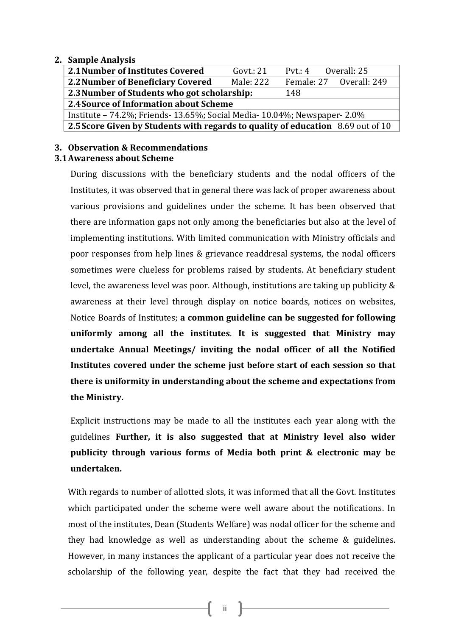#### 2. Sample Analysis

| 2.1 Number of Institutes Covered                                                | Govt.: $21$ | Overall: 25<br>Pvt.: $4$ |                         |  |  |
|---------------------------------------------------------------------------------|-------------|--------------------------|-------------------------|--|--|
| 2.2 Number of Beneficiary Covered                                               | Male: 222   |                          | Female: 27 Overall: 249 |  |  |
| 2.3 Number of Students who got scholarship:<br>148                              |             |                          |                         |  |  |
| 2.4 Source of Information about Scheme                                          |             |                          |                         |  |  |
| Institute – 74.2%; Friends- 13.65%; Social Media- 10.04%; Newspaper- 2.0%       |             |                          |                         |  |  |
| 2.5 Score Given by Students with regards to quality of education 8.69 out of 10 |             |                          |                         |  |  |
|                                                                                 |             |                          |                         |  |  |

## 3. Observation & Recommendations

## 3.1Awareness about Scheme

During discussions with the beneficiary students and the nodal officers of the Institutes, it was observed that in general there was lack of proper awareness about various provisions and guidelines under the scheme. It has been observed that there are information gaps not only among the beneficiaries but also at the level of implementing institutions. With limited communication with Ministry officials and poor responses from help lines & grievance readdresal systems, the nodal officers sometimes were clueless for problems raised by students. At beneficiary student level, the awareness level was poor. Although, institutions are taking up publicity & awareness at their level through display on notice boards, notices on websites, Notice Boards of Institutes; a common guideline can be suggested for following uniformly among all the institutes. It is suggested that Ministry may undertake Annual Meetings/ inviting the nodal officer of all the Notified Institutes covered under the scheme just before start of each session so that there is uniformity in understanding about the scheme and expectations from the Ministry.

Explicit instructions may be made to all the institutes each year along with the guidelines Further, it is also suggested that at Ministry level also wider publicity through various forms of Media both print & electronic may be undertaken.

With regards to number of allotted slots, it was informed that all the Govt. Institutes which participated under the scheme were well aware about the notifications. In most of the institutes, Dean (Students Welfare) was nodal officer for the scheme and they had knowledge as well as understanding about the scheme & guidelines. However, in many instances the applicant of a particular year does not receive the scholarship of the following year, despite the fact that they had received the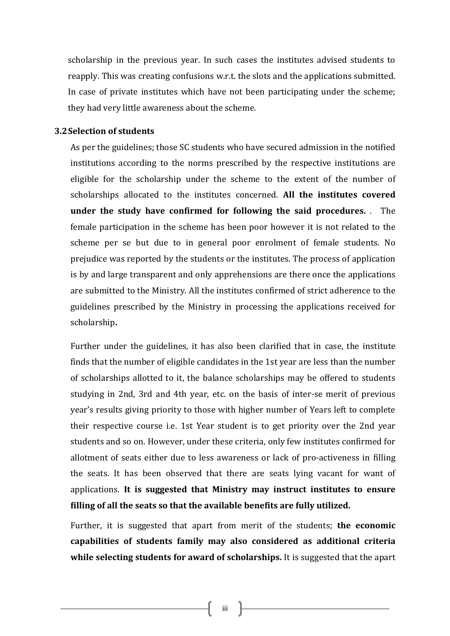scholarship in the previous year. In such cases the institutes advised students to reapply. This was creating confusions w.r.t. the slots and the applications submitted. In case of private institutes which have not been participating under the scheme; they had very little awareness about the scheme.

#### 3.2Selection of students

As per the guidelines; those SC students who have secured admission in the notified institutions according to the norms prescribed by the respective institutions are eligible for the scholarship under the scheme to the extent of the number of scholarships allocated to the institutes concerned. All the institutes covered under the study have confirmed for following the said procedures. . The female participation in the scheme has been poor however it is not related to the scheme per se but due to in general poor enrolment of female students. No prejudice was reported by the students or the institutes. The process of application is by and large transparent and only apprehensions are there once the applications are submitted to the Ministry. All the institutes confirmed of strict adherence to the guidelines prescribed by the Ministry in processing the applications received for scholarship.

Further under the guidelines, it has also been clarified that in case, the institute finds that the number of eligible candidates in the 1st year are less than the number of scholarships allotted to it, the balance scholarships may be offered to students studying in 2nd, 3rd and 4th year, etc. on the basis of inter-se merit of previous year's results giving priority to those with higher number of Years left to complete their respective course i.e. 1st Year student is to get priority over the 2nd year students and so on. However, under these criteria, only few institutes confirmed for allotment of seats either due to less awareness or lack of pro-activeness in filling the seats. It has been observed that there are seats lying vacant for want of applications. It is suggested that Ministry may instruct institutes to ensure filling of all the seats so that the available benefits are fully utilized.

Further, it is suggested that apart from merit of the students; the economic capabilities of students family may also considered as additional criteria while selecting students for award of scholarships. It is suggested that the apart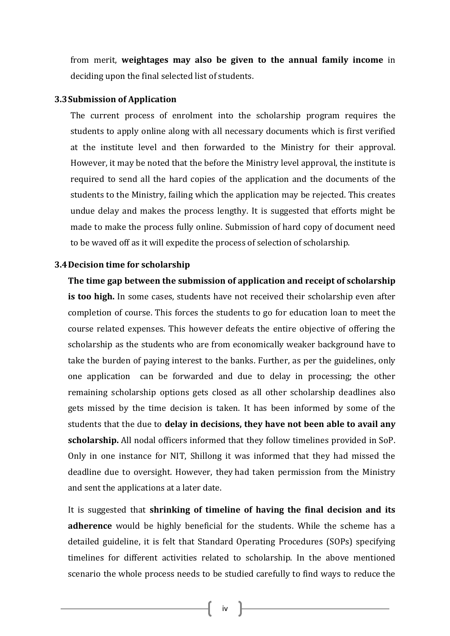from merit, weightages may also be given to the annual family income in deciding upon the final selected list of students.

#### 3.3Submission of Application

The current process of enrolment into the scholarship program requires the students to apply online along with all necessary documents which is first verified at the institute level and then forwarded to the Ministry for their approval. However, it may be noted that the before the Ministry level approval, the institute is required to send all the hard copies of the application and the documents of the students to the Ministry, failing which the application may be rejected. This creates undue delay and makes the process lengthy. It is suggested that efforts might be made to make the process fully online. Submission of hard copy of document need to be waved off as it will expedite the process of selection of scholarship.

#### 3.4Decision time for scholarship

The time gap between the submission of application and receipt of scholarship is too high. In some cases, students have not received their scholarship even after completion of course. This forces the students to go for education loan to meet the course related expenses. This however defeats the entire objective of offering the scholarship as the students who are from economically weaker background have to take the burden of paying interest to the banks. Further, as per the guidelines, only one application can be forwarded and due to delay in processing; the other remaining scholarship options gets closed as all other scholarship deadlines also gets missed by the time decision is taken. It has been informed by some of the students that the due to delay in decisions, they have not been able to avail any scholarship. All nodal officers informed that they follow timelines provided in SoP. Only in one instance for NIT, Shillong it was informed that they had missed the deadline due to oversight. However, they had taken permission from the Ministry and sent the applications at a later date.

It is suggested that shrinking of timeline of having the final decision and its adherence would be highly beneficial for the students. While the scheme has a detailed guideline, it is felt that Standard Operating Procedures (SOPs) specifying timelines for different activities related to scholarship. In the above mentioned scenario the whole process needs to be studied carefully to find ways to reduce the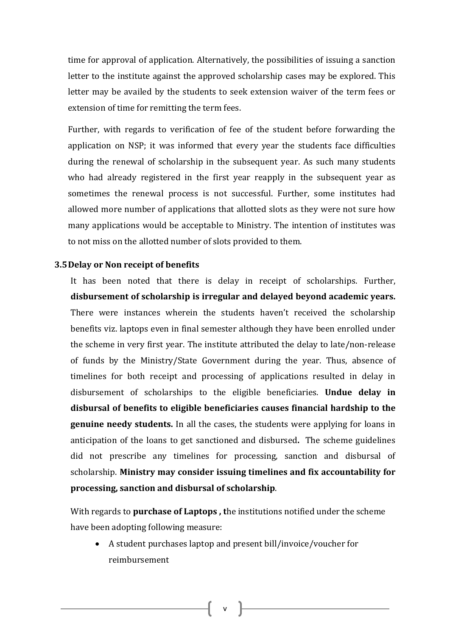time for approval of application. Alternatively, the possibilities of issuing a sanction letter to the institute against the approved scholarship cases may be explored. This letter may be availed by the students to seek extension waiver of the term fees or extension of time for remitting the term fees.

Further, with regards to verification of fee of the student before forwarding the application on NSP; it was informed that every year the students face difficulties during the renewal of scholarship in the subsequent year. As such many students who had already registered in the first year reapply in the subsequent year as sometimes the renewal process is not successful. Further, some institutes had allowed more number of applications that allotted slots as they were not sure how many applications would be acceptable to Ministry. The intention of institutes was to not miss on the allotted number of slots provided to them.

#### 3.5Delay or Non receipt of benefits

It has been noted that there is delay in receipt of scholarships. Further, disbursement of scholarship is irregular and delayed beyond academic years. There were instances wherein the students haven't received the scholarship benefits viz. laptops even in final semester although they have been enrolled under the scheme in very first year. The institute attributed the delay to late/non-release of funds by the Ministry/State Government during the year. Thus, absence of timelines for both receipt and processing of applications resulted in delay in disbursement of scholarships to the eligible beneficiaries. Undue delay in disbursal of benefits to eligible beneficiaries causes financial hardship to the genuine needy students. In all the cases, the students were applying for loans in anticipation of the loans to get sanctioned and disbursed. The scheme guidelines did not prescribe any timelines for processing, sanction and disbursal of scholarship. Ministry may consider issuing timelines and fix accountability for processing, sanction and disbursal of scholarship.

With regards to **purchase of Laptops**, the institutions notified under the scheme have been adopting following measure:

 A student purchases laptop and present bill/invoice/voucher for reimbursement

v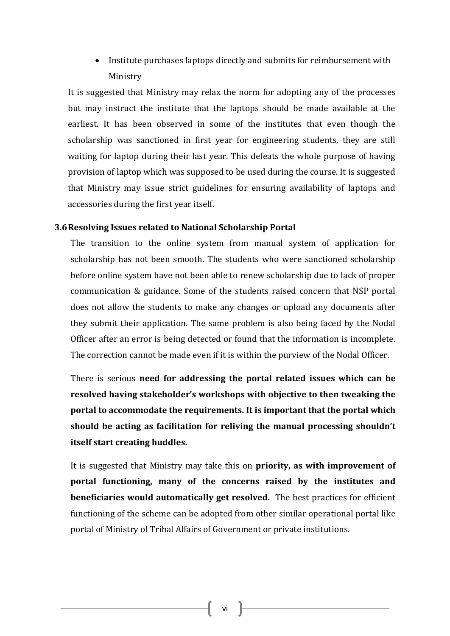• Institute purchases laptops directly and submits for reimbursement with Ministry

It is suggested that Ministry may relax the norm for adopting any of the processes but may instruct the institute that the laptops should be made available at the earliest. It has been observed in some of the institutes that even though the scholarship was sanctioned in first year for engineering students, they are still waiting for laptop during their last year. This defeats the whole purpose of having provision of laptop which was supposed to be used during the course. It is suggested that Ministry may issue strict guidelines for ensuring availability of laptops and accessories during the first year itself.

#### 3.6Resolving Issues related to National Scholarship Portal

The transition to the online system from manual system of application for scholarship has not been smooth. The students who were sanctioned scholarship before online system have not been able to renew scholarship due to lack of proper communication & guidance. Some of the students raised concern that NSP portal does not allow the students to make any changes or upload any documents after they submit their application. The same problem is also being faced by the Nodal Officer after an error is being detected or found that the information is incomplete. The correction cannot be made even if it is within the purview of the Nodal Officer.

There is serious need for addressing the portal related issues which can be resolved having stakeholder's workshops with objective to then tweaking the portal to accommodate the requirements. It is important that the portal which should be acting as facilitation for reliving the manual processing shouldn't itself start creating huddles.

It is suggested that Ministry may take this on priority, as with improvement of portal functioning, many of the concerns raised by the institutes and beneficiaries would automatically get resolved. The best practices for efficient functioning of the scheme can be adopted from other similar operational portal like portal of Ministry of Tribal Affairs of Government or private institutions.

vi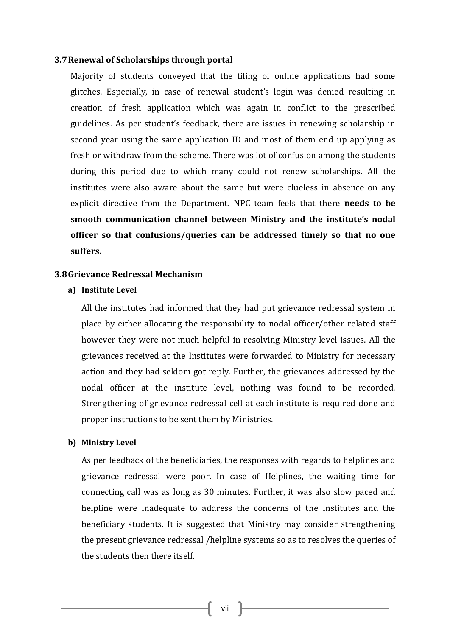#### 3.7Renewal of Scholarships through portal

Majority of students conveyed that the filing of online applications had some glitches. Especially, in case of renewal student's login was denied resulting in creation of fresh application which was again in conflict to the prescribed guidelines. As per student's feedback, there are issues in renewing scholarship in second year using the same application ID and most of them end up applying as fresh or withdraw from the scheme. There was lot of confusion among the students during this period due to which many could not renew scholarships. All the institutes were also aware about the same but were clueless in absence on any explicit directive from the Department. NPC team feels that there needs to be smooth communication channel between Ministry and the institute's nodal officer so that confusions/queries can be addressed timely so that no one suffers.

#### 3.8Grievance Redressal Mechanism

#### a) Institute Level

All the institutes had informed that they had put grievance redressal system in place by either allocating the responsibility to nodal officer/other related staff however they were not much helpful in resolving Ministry level issues. All the grievances received at the Institutes were forwarded to Ministry for necessary action and they had seldom got reply. Further, the grievances addressed by the nodal officer at the institute level, nothing was found to be recorded. Strengthening of grievance redressal cell at each institute is required done and proper instructions to be sent them by Ministries.

#### b) Ministry Level

As per feedback of the beneficiaries, the responses with regards to helplines and grievance redressal were poor. In case of Helplines, the waiting time for connecting call was as long as 30 minutes. Further, it was also slow paced and helpline were inadequate to address the concerns of the institutes and the beneficiary students. It is suggested that Ministry may consider strengthening the present grievance redressal /helpline systems so as to resolves the queries of the students then there itself.

vii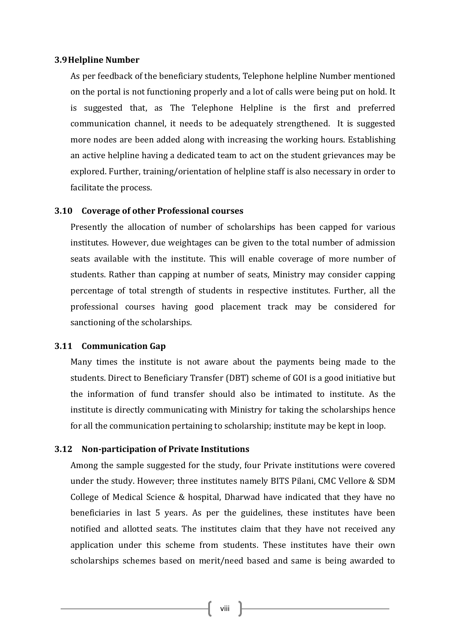#### 3.9Helpline Number

As per feedback of the beneficiary students, Telephone helpline Number mentioned on the portal is not functioning properly and a lot of calls were being put on hold. It is suggested that, as The Telephone Helpline is the first and preferred communication channel, it needs to be adequately strengthened. It is suggested more nodes are been added along with increasing the working hours. Establishing an active helpline having a dedicated team to act on the student grievances may be explored. Further, training/orientation of helpline staff is also necessary in order to facilitate the process.

#### 3.10 Coverage of other Professional courses

Presently the allocation of number of scholarships has been capped for various institutes. However, due weightages can be given to the total number of admission seats available with the institute. This will enable coverage of more number of students. Rather than capping at number of seats, Ministry may consider capping percentage of total strength of students in respective institutes. Further, all the professional courses having good placement track may be considered for sanctioning of the scholarships.

#### 3.11 Communication Gap

Many times the institute is not aware about the payments being made to the students. Direct to Beneficiary Transfer (DBT) scheme of GOI is a good initiative but the information of fund transfer should also be intimated to institute. As the institute is directly communicating with Ministry for taking the scholarships hence for all the communication pertaining to scholarship; institute may be kept in loop.

#### 3.12 Non-participation of Private Institutions

Among the sample suggested for the study, four Private institutions were covered under the study. However; three institutes namely BITS Pilani, CMC Vellore & SDM College of Medical Science & hospital, Dharwad have indicated that they have no beneficiaries in last 5 years. As per the guidelines, these institutes have been notified and allotted seats. The institutes claim that they have not received any application under this scheme from students. These institutes have their own scholarships schemes based on merit/need based and same is being awarded to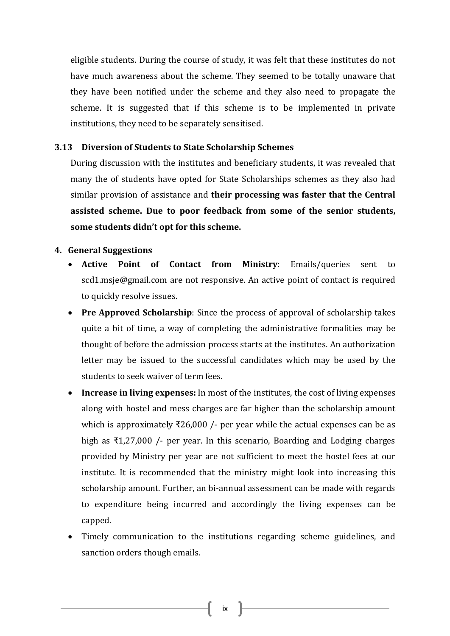eligible students. During the course of study, it was felt that these institutes do not have much awareness about the scheme. They seemed to be totally unaware that they have been notified under the scheme and they also need to propagate the scheme. It is suggested that if this scheme is to be implemented in private institutions, they need to be separately sensitised.

#### 3.13 Diversion of Students to State Scholarship Schemes

During discussion with the institutes and beneficiary students, it was revealed that many the of students have opted for State Scholarships schemes as they also had similar provision of assistance and their processing was faster that the Central assisted scheme. Due to poor feedback from some of the senior students, some students didn't opt for this scheme.

#### 4. General Suggestions

- Active Point of Contact from Ministry: Emails/queries sent to scd1.msje@gmail.com are not responsive. An active point of contact is required to quickly resolve issues.
- Pre Approved Scholarship: Since the process of approval of scholarship takes quite a bit of time, a way of completing the administrative formalities may be thought of before the admission process starts at the institutes. An authorization letter may be issued to the successful candidates which may be used by the students to seek waiver of term fees.
- Increase in living expenses: In most of the institutes, the cost of living expenses along with hostel and mess charges are far higher than the scholarship amount which is approximately ₹26,000 /- per year while the actual expenses can be as high as ₹1,27,000 /- per year. In this scenario, Boarding and Lodging charges provided by Ministry per year are not sufficient to meet the hostel fees at our institute. It is recommended that the ministry might look into increasing this scholarship amount. Further, an bi-annual assessment can be made with regards to expenditure being incurred and accordingly the living expenses can be capped.
- Timely communication to the institutions regarding scheme guidelines, and sanction orders though emails.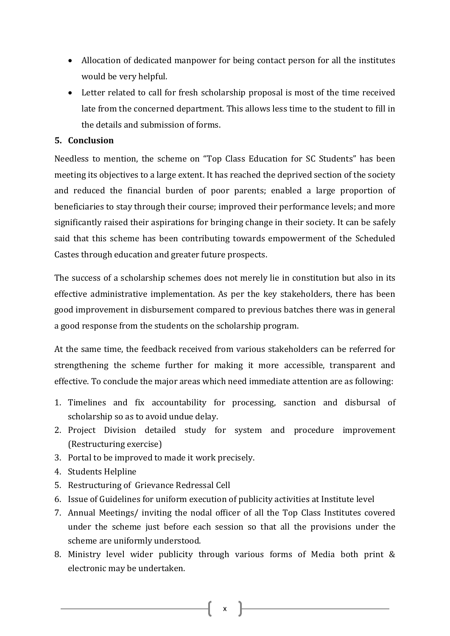- Allocation of dedicated manpower for being contact person for all the institutes would be very helpful.
- Letter related to call for fresh scholarship proposal is most of the time received late from the concerned department. This allows less time to the student to fill in the details and submission of forms.

## 5. Conclusion

Needless to mention, the scheme on "Top Class Education for SC Students" has been meeting its objectives to a large extent. It has reached the deprived section of the society and reduced the financial burden of poor parents; enabled a large proportion of beneficiaries to stay through their course; improved their performance levels; and more significantly raised their aspirations for bringing change in their society. It can be safely said that this scheme has been contributing towards empowerment of the Scheduled Castes through education and greater future prospects.

The success of a scholarship schemes does not merely lie in constitution but also in its effective administrative implementation. As per the key stakeholders, there has been good improvement in disbursement compared to previous batches there was in general a good response from the students on the scholarship program.

At the same time, the feedback received from various stakeholders can be referred for strengthening the scheme further for making it more accessible, transparent and effective. To conclude the major areas which need immediate attention are as following:

- 1. Timelines and fix accountability for processing, sanction and disbursal of scholarship so as to avoid undue delay.
- 2. Project Division detailed study for system and procedure improvement (Restructuring exercise)
- 3. Portal to be improved to made it work precisely.
- 4. Students Helpline
- 5. Restructuring of Grievance Redressal Cell
- 6. Issue of Guidelines for uniform execution of publicity activities at Institute level
- 7. Annual Meetings/ inviting the nodal officer of all the Top Class Institutes covered under the scheme just before each session so that all the provisions under the scheme are uniformly understood.
- 8. Ministry level wider publicity through various forms of Media both print & electronic may be undertaken.

x